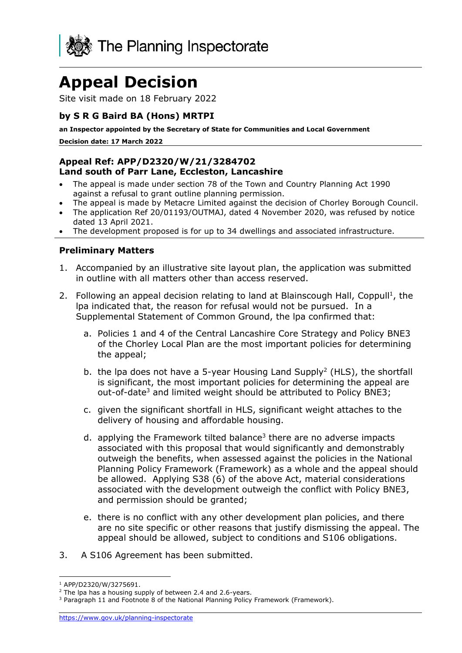

# **Appeal Decision**

Site visit made on 18 February 2022

#### **by S R G Baird BA (Hons) MRTPI**

**an Inspector appointed by the Secretary of State for Communities and Local Government**

**Decision date: 17 March 2022**

#### **Appeal Ref: APP/D2320/W/21/3284702 Land south of Parr Lane, Eccleston, Lancashire**

- The appeal is made under section 78 of the Town and Country Planning Act 1990 against a refusal to grant outline planning permission.
- The appeal is made by Metacre Limited against the decision of Chorley Borough Council.
- The application Ref 20/01193/OUTMAJ, dated 4 November 2020, was refused by notice dated 13 April 2021.
- The development proposed is for up to 34 dwellings and associated infrastructure.

#### **Preliminary Matters**

- 1. Accompanied by an illustrative site layout plan, the application was submitted in outline with all matters other than access reserved.
- 2. Following an appeal decision relating to land at Blainscough Hall, Coppull<sup>1</sup>, the lpa indicated that, the reason for refusal would not be pursued. In a Supplemental Statement of Common Ground, the lpa confirmed that:
	- a. Policies 1 and 4 of the Central Lancashire Core Strategy and Policy BNE3 of the Chorley Local Plan are the most important policies for determining the appeal;
	- b. the lpa does not have a 5-year Housing Land Supply<sup>2</sup> (HLS), the shortfall is significant, the most important policies for determining the appeal are out-of-date<sup>3</sup> and limited weight should be attributed to Policy BNE3;
	- c. given the significant shortfall in HLS, significant weight attaches to the delivery of housing and affordable housing.
	- d. applying the Framework tilted balance<sup>3</sup> there are no adverse impacts associated with this proposal that would significantly and demonstrably outweigh the benefits, when assessed against the policies in the National Planning Policy Framework (Framework) as a whole and the appeal should be allowed. Applying S38 (6) of the above Act, material considerations associated with the development outweigh the conflict with Policy BNE3, and permission should be granted;
	- e. there is no conflict with any other development plan policies, and there are no site specific or other reasons that justify dismissing the appeal. The appeal should be allowed, subject to conditions and S106 obligations.
- 3. A S106 Agreement has been submitted.

<sup>1</sup> APP/D2320/W/3275691.

 $2$  The lpa has a housing supply of between 2.4 and 2.6-years.

<sup>&</sup>lt;sup>3</sup> Paragraph 11 and Footnote 8 of the National Planning Policy Framework (Framework).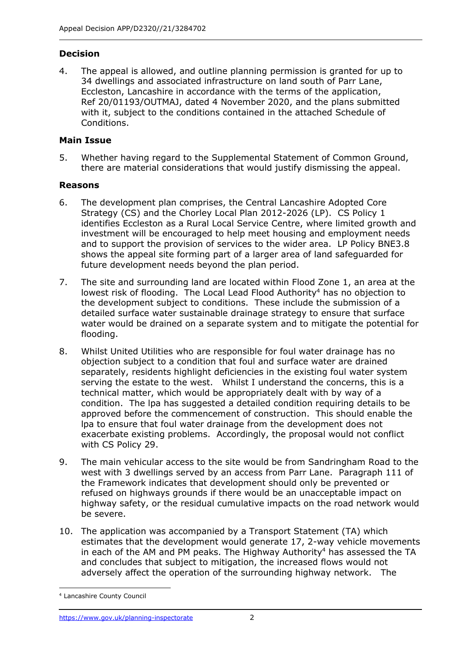# **Decision**

4. The appeal is allowed, and outline planning permission is granted for up to 34 dwellings and associated infrastructure on land south of Parr Lane, Eccleston, Lancashire in accordance with the terms of the application, Ref 20/01193/OUTMAJ, dated 4 November 2020, and the plans submitted with it, subject to the conditions contained in the attached Schedule of Conditions.

#### **Main Issue**

5. Whether having regard to the Supplemental Statement of Common Ground, there are material considerations that would justify dismissing the appeal.

## **Reasons**

- 6. The development plan comprises, the Central Lancashire Adopted Core Strategy (CS) and the Chorley Local Plan 2012-2026 (LP). CS Policy 1 identifies Eccleston as a Rural Local Service Centre, where limited growth and investment will be encouraged to help meet housing and employment needs and to support the provision of services to the wider area. LP Policy BNE3.8 shows the appeal site forming part of a larger area of land safeguarded for future development needs beyond the plan period.
- 7. The site and surrounding land are located within Flood Zone 1, an area at the lowest risk of flooding. The Local Lead Flood Authority<sup>4</sup> has no objection to the development subject to conditions. These include the submission of a detailed surface water sustainable drainage strategy to ensure that surface water would be drained on a separate system and to mitigate the potential for flooding.
- 8. Whilst United Utilities who are responsible for foul water drainage has no objection subject to a condition that foul and surface water are drained separately, residents highlight deficiencies in the existing foul water system serving the estate to the west. Whilst I understand the concerns, this is a technical matter, which would be appropriately dealt with by way of a condition. The lpa has suggested a detailed condition requiring details to be approved before the commencement of construction. This should enable the lpa to ensure that foul water drainage from the development does not exacerbate existing problems. Accordingly, the proposal would not conflict with CS Policy 29.
- 9. The main vehicular access to the site would be from Sandringham Road to the west with 3 dwellings served by an access from Parr Lane. Paragraph 111 of the Framework indicates that development should only be prevented or refused on highways grounds if there would be an unacceptable impact on highway safety, or the residual cumulative impacts on the road network would be severe.
- 10. The application was accompanied by a Transport Statement (TA) which estimates that the development would generate 17, 2-way vehicle movements in each of the AM and PM peaks. The Highway Authority<sup>4</sup> has assessed the TA and concludes that subject to mitigation, the increased flows would not adversely affect the operation of the surrounding highway network. The

<sup>4</sup> Lancashire County Council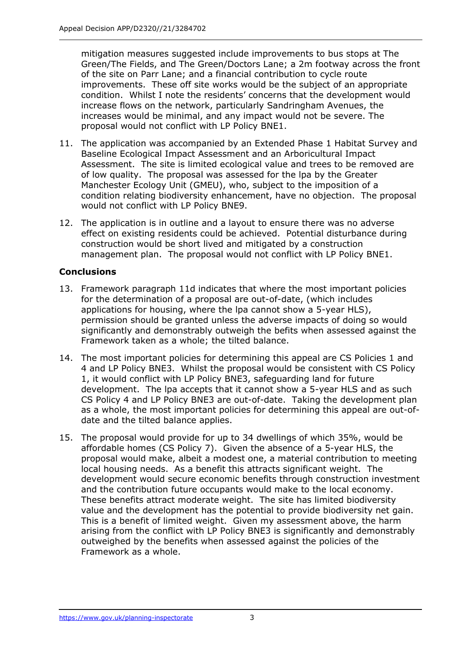mitigation measures suggested include improvements to bus stops at The Green/The Fields, and The Green/Doctors Lane; a 2m footway across the front of the site on Parr Lane; and a financial contribution to cycle route improvements. These off site works would be the subject of an appropriate condition. Whilst I note the residents' concerns that the development would increase flows on the network, particularly Sandringham Avenues, the increases would be minimal, and any impact would not be severe. The proposal would not conflict with LP Policy BNE1.

- 11. The application was accompanied by an Extended Phase 1 Habitat Survey and Baseline Ecological Impact Assessment and an Arboricultural Impact Assessment. The site is limited ecological value and trees to be removed are of low quality. The proposal was assessed for the lpa by the Greater Manchester Ecology Unit (GMEU), who, subject to the imposition of a condition relating biodiversity enhancement, have no objection. The proposal would not conflict with LP Policy BNE9.
- 12. The application is in outline and a layout to ensure there was no adverse effect on existing residents could be achieved. Potential disturbance during construction would be short lived and mitigated by a construction management plan. The proposal would not conflict with LP Policy BNE1.

## **Conclusions**

- 13. Framework paragraph 11d indicates that where the most important policies for the determination of a proposal are out-of-date, (which includes applications for housing, where the lpa cannot show a 5-year HLS), permission should be granted unless the adverse impacts of doing so would significantly and demonstrably outweigh the befits when assessed against the Framework taken as a whole; the tilted balance.
- 14. The most important policies for determining this appeal are CS Policies 1 and 4 and LP Policy BNE3. Whilst the proposal would be consistent with CS Policy 1, it would conflict with LP Policy BNE3, safeguarding land for future development. The lpa accepts that it cannot show a 5-year HLS and as such CS Policy 4 and LP Policy BNE3 are out-of-date. Taking the development plan as a whole, the most important policies for determining this appeal are out-ofdate and the tilted balance applies.
- 15. The proposal would provide for up to 34 dwellings of which 35%, would be affordable homes (CS Policy 7). Given the absence of a 5-year HLS, the proposal would make, albeit a modest one, a material contribution to meeting local housing needs. As a benefit this attracts significant weight. The development would secure economic benefits through construction investment and the contribution future occupants would make to the local economy. These benefits attract moderate weight. The site has limited biodiversity value and the development has the potential to provide biodiversity net gain. This is a benefit of limited weight. Given my assessment above, the harm arising from the conflict with LP Policy BNE3 is significantly and demonstrably outweighed by the benefits when assessed against the policies of the Framework as a whole.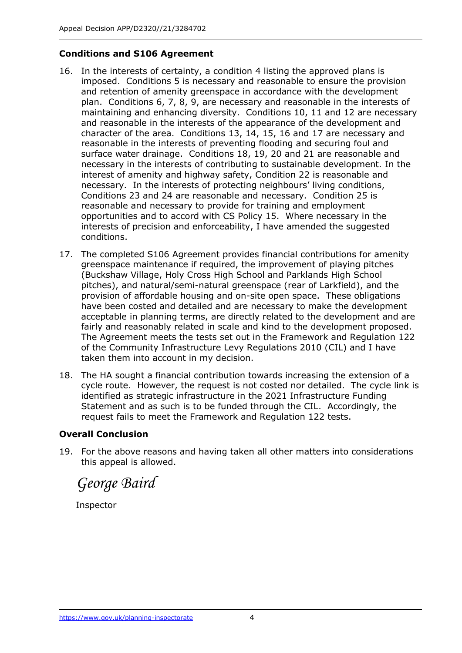## **Conditions and S106 Agreement**

- 16. In the interests of certainty, a condition 4 listing the approved plans is imposed. Conditions 5 is necessary and reasonable to ensure the provision and retention of amenity greenspace in accordance with the development plan. Conditions 6, 7, 8, 9, are necessary and reasonable in the interests of maintaining and enhancing diversity. Conditions 10, 11 and 12 are necessary and reasonable in the interests of the appearance of the development and character of the area. Conditions 13, 14, 15, 16 and 17 are necessary and reasonable in the interests of preventing flooding and securing foul and surface water drainage. Conditions 18, 19, 20 and 21 are reasonable and necessary in the interests of contributing to sustainable development. In the interest of amenity and highway safety, Condition 22 is reasonable and necessary. In the interests of protecting neighbours' living conditions, Conditions 23 and 24 are reasonable and necessary. Condition 25 is reasonable and necessary to provide for training and employment opportunities and to accord with CS Policy 15. Where necessary in the interests of precision and enforceability, I have amended the suggested conditions.
- 17. The completed S106 Agreement provides financial contributions for amenity greenspace maintenance if required, the improvement of playing pitches (Buckshaw Village, Holy Cross High School and Parklands High School pitches), and natural/semi-natural greenspace (rear of Larkfield), and the provision of affordable housing and on-site open space. These obligations have been costed and detailed and are necessary to make the development acceptable in planning terms, are directly related to the development and are fairly and reasonably related in scale and kind to the development proposed. The Agreement meets the tests set out in the Framework and Regulation 122 of the Community Infrastructure Levy Regulations 2010 (CIL) and I have taken them into account in my decision.
- 18. The HA sought a financial contribution towards increasing the extension of a cycle route. However, the request is not costed nor detailed. The cycle link is identified as strategic infrastructure in the 2021 Infrastructure Funding Statement and as such is to be funded through the CIL. Accordingly, the request fails to meet the Framework and Regulation 122 tests.

#### **Overall Conclusion**

19. For the above reasons and having taken all other matters into considerations this appeal is allowed.

*George Baird*

Inspector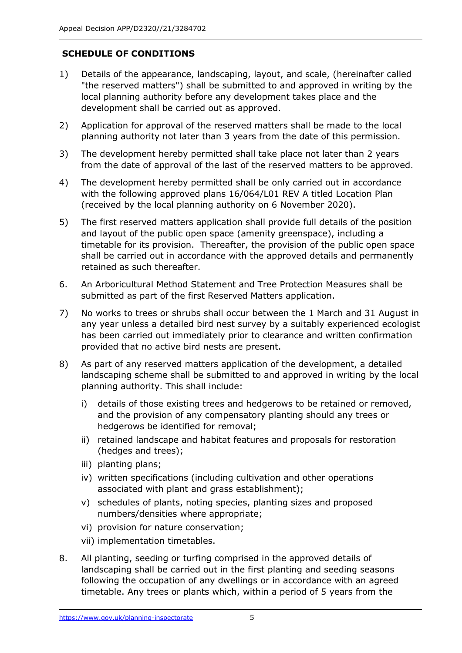# **SCHEDULE OF CONDITIONS**

- 1) Details of the appearance, landscaping, layout, and scale, (hereinafter called "the reserved matters") shall be submitted to and approved in writing by the local planning authority before any development takes place and the development shall be carried out as approved.
- 2) Application for approval of the reserved matters shall be made to the local planning authority not later than 3 years from the date of this permission.
- 3) The development hereby permitted shall take place not later than 2 years from the date of approval of the last of the reserved matters to be approved.
- 4) The development hereby permitted shall be only carried out in accordance with the following approved plans 16/064/L01 REV A titled Location Plan (received by the local planning authority on 6 November 2020).
- 5) The first reserved matters application shall provide full details of the position and layout of the public open space (amenity greenspace), including a timetable for its provision. Thereafter, the provision of the public open space shall be carried out in accordance with the approved details and permanently retained as such thereafter.
- 6. An Arboricultural Method Statement and Tree Protection Measures shall be submitted as part of the first Reserved Matters application.
- 7) No works to trees or shrubs shall occur between the 1 March and 31 August in any year unless a detailed bird nest survey by a suitably experienced ecologist has been carried out immediately prior to clearance and written confirmation provided that no active bird nests are present.
- 8) As part of any reserved matters application of the development, a detailed landscaping scheme shall be submitted to and approved in writing by the local planning authority. This shall include:
	- i) details of those existing trees and hedgerows to be retained or removed, and the provision of any compensatory planting should any trees or hedgerows be identified for removal;
	- ii) retained landscape and habitat features and proposals for restoration (hedges and trees);
	- iii) planting plans;
	- iv) written specifications (including cultivation and other operations associated with plant and grass establishment);
	- v) schedules of plants, noting species, planting sizes and proposed numbers/densities where appropriate;
	- vi) provision for nature conservation;
	- vii) implementation timetables.
- 8. All planting, seeding or turfing comprised in the approved details of landscaping shall be carried out in the first planting and seeding seasons following the occupation of any dwellings or in accordance with an agreed timetable. Any trees or plants which, within a period of 5 years from the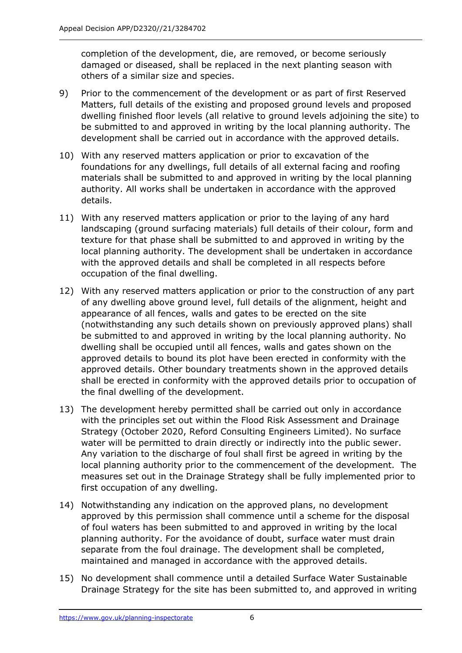completion of the development, die, are removed, or become seriously damaged or diseased, shall be replaced in the next planting season with others of a similar size and species.

- 9) Prior to the commencement of the development or as part of first Reserved Matters, full details of the existing and proposed ground levels and proposed dwelling finished floor levels (all relative to ground levels adjoining the site) to be submitted to and approved in writing by the local planning authority. The development shall be carried out in accordance with the approved details.
- 10) With any reserved matters application or prior to excavation of the foundations for any dwellings, full details of all external facing and roofing materials shall be submitted to and approved in writing by the local planning authority. All works shall be undertaken in accordance with the approved details.
- 11) With any reserved matters application or prior to the laying of any hard landscaping (ground surfacing materials) full details of their colour, form and texture for that phase shall be submitted to and approved in writing by the local planning authority. The development shall be undertaken in accordance with the approved details and shall be completed in all respects before occupation of the final dwelling.
- 12) With any reserved matters application or prior to the construction of any part of any dwelling above ground level, full details of the alignment, height and appearance of all fences, walls and gates to be erected on the site (notwithstanding any such details shown on previously approved plans) shall be submitted to and approved in writing by the local planning authority. No dwelling shall be occupied until all fences, walls and gates shown on the approved details to bound its plot have been erected in conformity with the approved details. Other boundary treatments shown in the approved details shall be erected in conformity with the approved details prior to occupation of the final dwelling of the development.
- 13) The development hereby permitted shall be carried out only in accordance with the principles set out within the Flood Risk Assessment and Drainage Strategy (October 2020, Reford Consulting Engineers Limited). No surface water will be permitted to drain directly or indirectly into the public sewer. Any variation to the discharge of foul shall first be agreed in writing by the local planning authority prior to the commencement of the development. The measures set out in the Drainage Strategy shall be fully implemented prior to first occupation of any dwelling.
- 14) Notwithstanding any indication on the approved plans, no development approved by this permission shall commence until a scheme for the disposal of foul waters has been submitted to and approved in writing by the local planning authority. For the avoidance of doubt, surface water must drain separate from the foul drainage. The development shall be completed, maintained and managed in accordance with the approved details.
- 15) No development shall commence until a detailed Surface Water Sustainable Drainage Strategy for the site has been submitted to, and approved in writing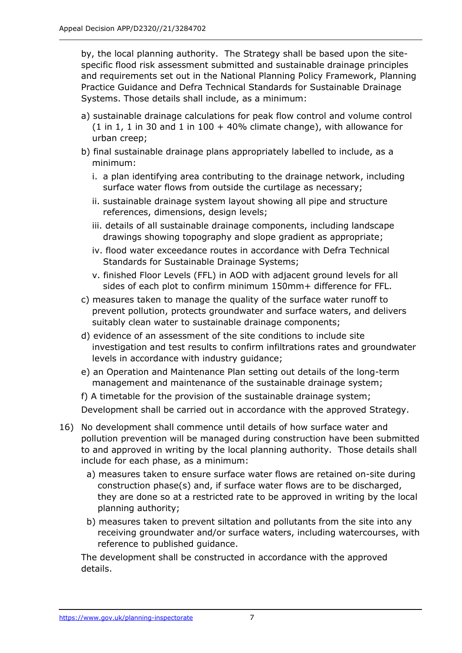by, the local planning authority. The Strategy shall be based upon the sitespecific flood risk assessment submitted and sustainable drainage principles and requirements set out in the National Planning Policy Framework, Planning Practice Guidance and Defra Technical Standards for Sustainable Drainage Systems. Those details shall include, as a minimum:

- a) sustainable drainage calculations for peak flow control and volume control (1 in 1, 1 in 30 and 1 in 100 + 40% climate change), with allowance for urban creep;
- b) final sustainable drainage plans appropriately labelled to include, as a minimum:
	- i. a plan identifying area contributing to the drainage network, including surface water flows from outside the curtilage as necessary;
	- ii. sustainable drainage system layout showing all pipe and structure references, dimensions, design levels;
	- iii. details of all sustainable drainage components, including landscape drawings showing topography and slope gradient as appropriate;
	- iv. flood water exceedance routes in accordance with Defra Technical Standards for Sustainable Drainage Systems;
	- v. finished Floor Levels (FFL) in AOD with adjacent ground levels for all sides of each plot to confirm minimum 150mm+ difference for FFL.
- c) measures taken to manage the quality of the surface water runoff to prevent pollution, protects groundwater and surface waters, and delivers suitably clean water to sustainable drainage components;
- d) evidence of an assessment of the site conditions to include site investigation and test results to confirm infiltrations rates and groundwater levels in accordance with industry guidance;
- e) an Operation and Maintenance Plan setting out details of the long-term management and maintenance of the sustainable drainage system;
- f) A timetable for the provision of the sustainable drainage system;

Development shall be carried out in accordance with the approved Strategy.

- 16) No development shall commence until details of how surface water and pollution prevention will be managed during construction have been submitted to and approved in writing by the local planning authority. Those details shall include for each phase, as a minimum:
	- a) measures taken to ensure surface water flows are retained on-site during construction phase(s) and, if surface water flows are to be discharged, they are done so at a restricted rate to be approved in writing by the local planning authority;
	- b) measures taken to prevent siltation and pollutants from the site into any receiving groundwater and/or surface waters, including watercourses, with reference to published guidance.

The development shall be constructed in accordance with the approved details.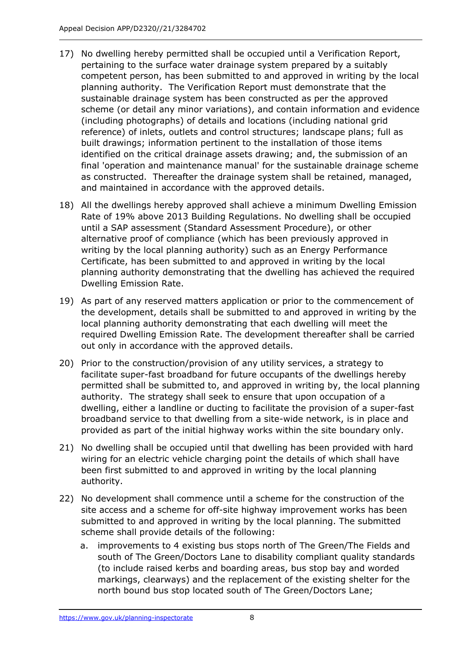- 17) No dwelling hereby permitted shall be occupied until a Verification Report, pertaining to the surface water drainage system prepared by a suitably competent person, has been submitted to and approved in writing by the local planning authority. The Verification Report must demonstrate that the sustainable drainage system has been constructed as per the approved scheme (or detail any minor variations), and contain information and evidence (including photographs) of details and locations (including national grid reference) of inlets, outlets and control structures; landscape plans; full as built drawings; information pertinent to the installation of those items identified on the critical drainage assets drawing; and, the submission of an final 'operation and maintenance manual' for the sustainable drainage scheme as constructed. Thereafter the drainage system shall be retained, managed, and maintained in accordance with the approved details.
- 18) All the dwellings hereby approved shall achieve a minimum Dwelling Emission Rate of 19% above 2013 Building Regulations. No dwelling shall be occupied until a SAP assessment (Standard Assessment Procedure), or other alternative proof of compliance (which has been previously approved in writing by the local planning authority) such as an Energy Performance Certificate, has been submitted to and approved in writing by the local planning authority demonstrating that the dwelling has achieved the required Dwelling Emission Rate.
- 19) As part of any reserved matters application or prior to the commencement of the development, details shall be submitted to and approved in writing by the local planning authority demonstrating that each dwelling will meet the required Dwelling Emission Rate. The development thereafter shall be carried out only in accordance with the approved details.
- 20) Prior to the construction/provision of any utility services, a strategy to facilitate super-fast broadband for future occupants of the dwellings hereby permitted shall be submitted to, and approved in writing by, the local planning authority. The strategy shall seek to ensure that upon occupation of a dwelling, either a landline or ducting to facilitate the provision of a super-fast broadband service to that dwelling from a site-wide network, is in place and provided as part of the initial highway works within the site boundary only.
- 21) No dwelling shall be occupied until that dwelling has been provided with hard wiring for an electric vehicle charging point the details of which shall have been first submitted to and approved in writing by the local planning authority.
- 22) No development shall commence until a scheme for the construction of the site access and a scheme for off-site highway improvement works has been submitted to and approved in writing by the local planning. The submitted scheme shall provide details of the following:
	- a. improvements to 4 existing bus stops north of The Green/The Fields and south of The Green/Doctors Lane to disability compliant quality standards (to include raised kerbs and boarding areas, bus stop bay and worded markings, clearways) and the replacement of the existing shelter for the north bound bus stop located south of The Green/Doctors Lane;